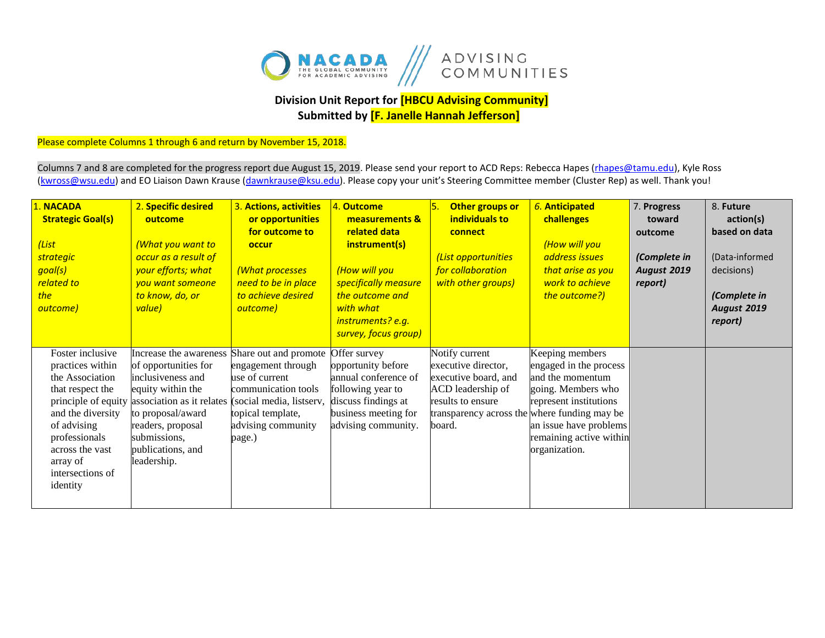

## **Division Unit Report for [HBCU Advising Community] Submitted by [F. Janelle Hannah Jefferson]**

## Please complete Columns 1 through 6 and return by November 15, 2018.

Columns 7 and 8 are completed for the progress report due August 15, 2019. Please send your report to ACD Reps: Rebecca Hapes (*rhapes@tamu.edu*), Kyle Ross [\(kwross@wsu.edu\)](mailto:kwross@wsu.edu) and EO Liaison Dawn Krause (dawnkrause@ksu.edu). Please copy your unit's Steering Committee member (Cluster Rep) as well. Thank you!

| . NACADA<br><b>Strategic Goal(s)</b><br>(List<br><b>strategic</b><br>goal(s)<br>related to<br>the<br>outcome)                                                                                                          | 2. Specific desired<br>outcome<br><mark>(What you want to</mark><br>occur as a result of<br>your efforts; what<br>vou want someone<br>to know, do, or<br>value)                                                     | 3. Actions, activities<br>or opportunities<br>for outcome to<br>occur<br>(What processes<br>need to be in place<br>to achieve desired<br>outcome)                     | 4. Outcome<br>measurements &<br>related data<br>instrument(s)<br>(How will you<br>specifically measure<br>the outcome and<br>with what<br>instruments? e.g.<br>survey, focus group) | Other groups or<br>individuals to<br>connect<br>(List opportunities<br>for collaboration<br>with other groups)                                                    | 6. Anticipated<br>challenges<br>(How will you<br>address issues<br>that arise as you<br>work to achieve<br>the outcome?)                                                            | 7. Progress<br>toward<br>outcome<br>(Complete in<br><b>August 2019</b><br>report) | 8. Future<br>action(s)<br>based on data<br>(Data-informed<br>decisions)<br>(Complete in<br><b>August 2019</b><br>report) |
|------------------------------------------------------------------------------------------------------------------------------------------------------------------------------------------------------------------------|---------------------------------------------------------------------------------------------------------------------------------------------------------------------------------------------------------------------|-----------------------------------------------------------------------------------------------------------------------------------------------------------------------|-------------------------------------------------------------------------------------------------------------------------------------------------------------------------------------|-------------------------------------------------------------------------------------------------------------------------------------------------------------------|-------------------------------------------------------------------------------------------------------------------------------------------------------------------------------------|-----------------------------------------------------------------------------------|--------------------------------------------------------------------------------------------------------------------------|
| Foster inclusive<br>practices within<br>the Association<br>that respect the<br>principle of equity<br>and the diversity<br>of advising<br>professionals<br>across the vast<br>array of<br>intersections of<br>identity | Increase the awareness<br>of opportunities for<br>inclusiveness and<br>equity within the<br>association as it relates<br>to proposal/award<br>readers, proposal<br>submissions,<br>publications, and<br>leadership. | Share out and promote<br>engagement through<br>use of current<br>communication tools<br>(social media, listserv,<br>topical template,<br>advising community<br>page.) | Offer survey<br>opportunity before<br>annual conference of<br>following year to<br>discuss findings at<br>business meeting for<br>advising community.                               | Notify current<br>executive director,<br>executive board, and<br>ACD leadership of<br>results to ensure<br>transparency across the where funding may be<br>board. | Keeping members<br>engaged in the process<br>and the momentum<br>going. Members who<br>represent institutions<br>an issue have problems<br>remaining active within<br>organization. |                                                                                   |                                                                                                                          |